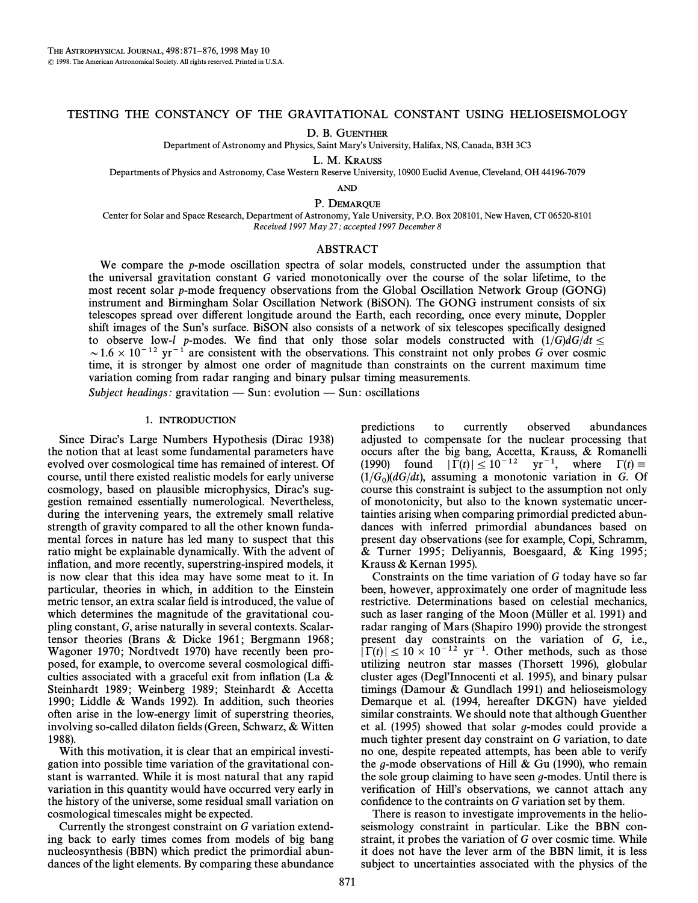### TESTING THE CONSTANCY OF THE GRAVITATIONAL CONSTANT USING HELIOSEISMOLOGY

D. B. GUENTHER

Department of Astronomy and Physics, Saint Mary's University, Halifax, NS, Canada, B3H 3C3

L. M. KRAUSS

Departments of Physics and Astronomy, Case Western Reserve University, 10900 Euclid Avenue, Cleveland, OH 44196-7079

AND

P. DEMARQUE

Center for Solar and Space Research, Department of Astronomy, Yale University, P.O. Box 208101, New Haven, CT 06520-8101 Received 1997 May 27; accepted 1997 December 8

# ABSTRACT

We compare the p-mode oscillation spectra of solar models, constructed under the assumption that the universal gravitation constant G varied monotonically over the course of the solar lifetime, to the most recent solar p-mode frequency observations from the Global Oscillation Network Group (GONG) instrument and Birmingham Solar Oscillation Network (BiSON). The GONG instrument consists of six telescopes spread over di†erent longitude around the Earth, each recording, once every minute, Doppler shift images of the Sun's surface. BiSON also consists of a network of six telescopes specifically designed to observe low-l p-modes. We find that only those solar models constructed with  $(1/G)dG/dt \le$  $\sim$  1.6  $\times$  10<sup>-12</sup> yr<sup>-1</sup> are consistent with the observations. This constraint not only probes G over cosmic time, it is stronger by almost one order of magnitude than constraints on the current maximum time variation coming from radar ranging and binary pulsar timing measurements.

Subject headings: gravitation  $-\text{Sun}$ : evolution  $-\text{Sun}$ : oscillations

# 1. INTRODUCTION

Since Dirac's Large Numbers Hypothesis (Dirac 1938) the notion that at least some fundamental parameters have evolved over cosmological time has remained of interest. Of course, until there existed realistic models for early universe cosmology, based on plausible microphysics, Dirac's suggestion remained essentially numerological. Nevertheless, during the intervening years, the extremely small relative strength of gravity compared to all the other known fundamental forces in nature has led many to suspect that this ratio might be explainable dynamically. With the advent of inflation, and more recently, superstring-inspired models, it is now clear that this idea may have some meat to it. In particular, theories in which, in addition to the Einstein metric tensor, an extra scalar field is introduced, the value of which determines the magnitude of the gravitational coupling constant, G, arise naturally in several contexts. Scalartensor theories (Brans & Dicke 1961; Bergmann 1968; Wagoner 1970; Nordtvedt 1970) have recently been proposed, for example, to overcome several cosmological difficulties associated with a graceful exit from inflation (La  $\&$ Steinhardt 1989; Weinberg 1989; Steinhardt & Accetta 1990; Liddle  $&$  Wands 1992). In addition, such theories often arise in the low-energy limit of superstring theories, involving so-called dilaton fields (Green, Schwarz,  $&$  Witten 1988).

With this motivation, it is clear that an empirical investigation into possible time variation of the gravitational constant is warranted. While it is most natural that any rapid variation in this quantity would have occurred very early in the history of the universe, some residual small variation on cosmological timescales might be expected.

Currently the strongest constraint on G variation extending back to early times comes from models of big bang nucleosynthesis (BBN) which predict the primordial abundances of the light elements. By comparing these abundance predictions to currently observed abundances adjusted to compensate for the nuclear processing that occurs after the big bang, Accetta, Krauss, & Romanelli (1990) found  $|\tilde{\Gamma}(t)| \leq 10^{-12}$  yr<sup>-1</sup>, where  $\Gamma(t) \equiv$  $(1/G_0)(dG/dt)$ , assuming a monotonic variation in G. Of course this constraint is subject to the assumption not only course this constraint is subject to the assumption not only of monotonicity, but also to the known systematic uncertainties arising when comparing primordial predicted abundances with inferred primordial abundances based on present day observations (see for example, Copi, Schramm, & Turner 1995; Deliyannis, Boesgaard, & King 1995; Krauss & Kernan 1995).

Constraints on the time variation of G today have so far been, however, approximately one order of magnitude less restrictive. Determinations based on celestial mechanics, such as laser ranging of the Moon (Müller et al. 1991) and radar ranging of Mars (Shapiro 1990) provide the strongest present day constraints on the variation of G, i.e.,  $|\Gamma(t)| \leq 10 \times 10^{-12}$  yr<sup>-1</sup>. Other methods, such as those utilizing neutron star masses (Thorsett 1996), globular cluster ages (Degl'Innocenti et al. 1995), and binary pulsar timings (Damour  $&$  Gundlach 1991) and helioseismology Demarque et al. (1994, hereafter DKGN) have yielded similar constraints. We should note that although Guenther et al.  $(1995)$  showed that solar g-modes could provide a much tighter present day constraint on G variation, to date no one, despite repeated attempts, has been able to verify the g-mode observations of Hill & Gu (1990), who remain the sole group claiming to have seen  $g$ -modes. Until there is verification of Hill's observations, we cannot attach any confidence to the contraints on G variation set by them.

There is reason to investigate improvements in the helioseismology constraint in particular. Like the BBN constraint, it probes the variation of G over cosmic time. While it does not have the lever arm of the BBN limit, it is less subject to uncertainties associated with the physics of the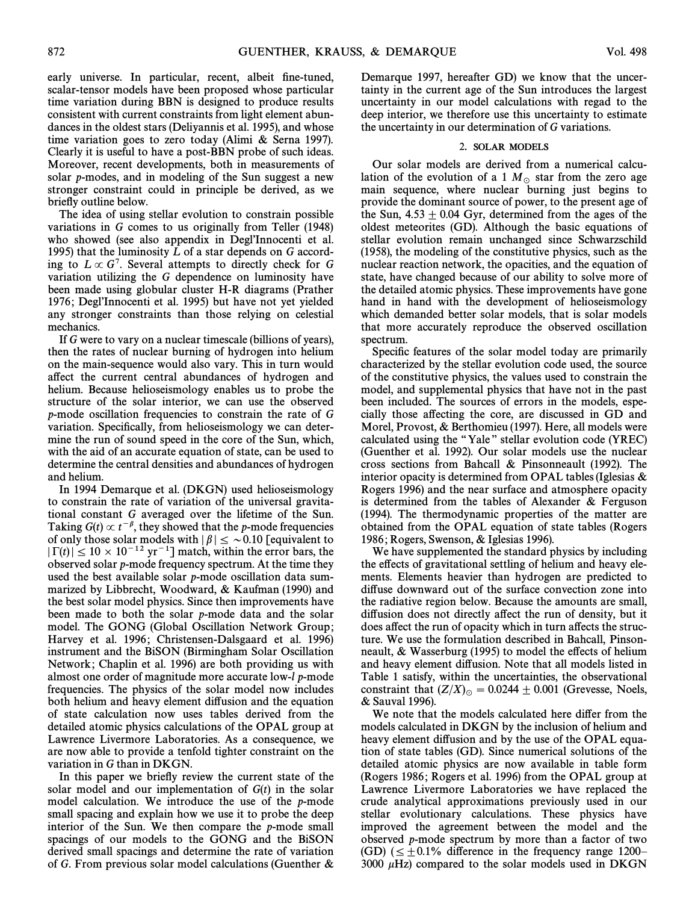early universe. In particular, recent, albeit fine-tuned, scalar-tensor models have been proposed whose particular time variation during BBN is designed to produce results consistent with current constraints from light element abundances in the oldest stars (Deliyannis et al. 1995), and whose time variation goes to zero today (Alimi  $\&$  Serna 1997). Clearly it is useful to have a post-BBN probe of such ideas. Moreover, recent developments, both in measurements of solar p-modes, and in modeling of the Sun suggest a new stronger constraint could in principle be derived, as we brieÑy outline below.

The idea of using stellar evolution to constrain possible variations in G comes to us originally from Teller (1948) who showed (see also appendix in Degl'Innocenti et al. 1995) that the luminosity  $L$  of a star depends on  $G$  according to  $L \propto G^7$ . Several attempts to directly check for G variation utilizing the G dependence on luminosity have been made using globular cluster H-R diagrams (Prather 1976; Degl'Innocenti et al. 1995) but have not yet yielded any stronger constraints than those relying on celestial mechanics.

If G were to vary on a nuclear timescale (billions of years), then the rates of nuclear burning of hydrogen into helium on the main-sequence would also vary. This in turn would affect the current central abundances of hydrogen and helium. Because helioseismology enables us to probe the structure of the solar interior, we can use the observed p-mode oscillation frequencies to constrain the rate of G variation. Specifically, from helioseismology we can determine the run of sound speed in the core of the Sun, which, with the aid of an accurate equation of state, can be used to determine the central densities and abundances of hydrogen and helium.

In 1994 Demarque et al. (DKGN) used helioseismology to constrain the rate of variation of the universal gravitational constant G averaged over the lifetime of the Sun. Taking  $G(t) \propto t^{-\beta}$ , they showed that the p-mode frequencies of only those solar models with  $|\beta| \leq \sim 0.10$  [equivalent to  $|\Gamma(t)| \leq 10 \times 10^{-12} \text{ yr}^{-1}$  match, within the error bars, the observed solar p-mode frequency spectrum. At the time they used the best available solar p-mode oscillation data summarized by Libbrecht, Woodward,  $&$  Kaufman (1990) and the best solar model physics. Since then improvements have been made to both the solar p-mode data and the solar model. The GONG (Global Oscillation Network Group; Harvey et al. 1996; Christensen-Dalsgaard et al. 1996) instrument and the BiSON (Birmingham Solar Oscillation Network; Chaplin et al. 1996) are both providing us with almost one order of magnitude more accurate low-l p-mode frequencies. The physics of the solar model now includes both helium and heavy element diffusion and the equation of state calculation now uses tables derived from the detailed atomic physics calculations of the OPAL group at Lawrence Livermore Laboratories. As a consequence, we are now able to provide a tenfold tighter constraint on the variation in G than in DKGN.

In this paper we briefly review the current state of the solar model and our implementation of  $G(t)$  in the solar model calculation. We introduce the use of the p-mode small spacing and explain how we use it to probe the deep interior of the Sun. We then compare the p-mode small spacings of our models to the GONG and the BiSON derived small spacings and determine the rate of variation of G. From previous solar model calculations (Guenther  $\&$ 

Demarque 1997, hereafter GD) we know that the uncertainty in the current age of the Sun introduces the largest uncertainty in our model calculations with regad to the deep interior, we therefore use this uncertainty to estimate the uncertainty in our determination of G variations.

### 2. SOLAR MODELS

Our solar models are derived from a numerical calculation of the evolution of a 1  $M_\odot$  star from the zero age main sequence, where nuclear burning just begins to provide the dominant source of power, to the present age of the Sun,  $4.53 \pm 0.04$  Gyr, determined from the ages of the oldest meteorites (GD). Although the basic equations of stellar evolution remain unchanged since Schwarzschild (1958), the modeling of the constitutive physics, such as the nuclear reaction network, the opacities, and the equation of state, have changed because of our ability to solve more of the detailed atomic physics. These improvements have gone hand in hand with the development of helioseismology which demanded better solar models, that is solar models that more accurately reproduce the observed oscillation spectrum.

Specific features of the solar model today are primarily characterized by the stellar evolution code used, the source of the constitutive physics, the values used to constrain the model, and supplemental physics that have not in the past been included. The sources of errors in the models, especially those affecting the core, are discussed in GD and Morel, Provost, & Berthomieu (1997). Here, all models were calculated using the "Yale" stellar evolution code (YREC) (Guenther et al. 1992). Our solar models use the nuclear cross sections from Bahcall  $\&$  Pinsonneault (1992). The interior opacity is determined from OPAL tables (Iglesias  $\&$ Rogers 1996) and the near surface and atmosphere opacity is determined from the tables of Alexander  $\&$  Ferguson (1994). The thermodynamic properties of the matter are obtained from the OPAL equation of state tables (Rogers 1986; Rogers, Swenson, & Iglesias 1996).

We have supplemented the standard physics by including the effects of gravitational settling of helium and heavy elements. Elements heavier than hydrogen are predicted to diffuse downward out of the surface convection zone into the radiative region below. Because the amounts are small, diffusion does not directly affect the run of density, but it does affect the run of opacity which in turn affects the structure. We use the formulation described in Bahcall, Pinsonneault,  $& Wasserburg (1995)$  to model the effects of helium and heavy element diffusion. Note that all models listed in Table 1 satisfy, within the uncertainties, the observational constraint that  $(Z/X)_{\odot} = 0.0244 \pm 0.001$  (Grevesse, Noels,  $R_1$  Sauval 1996) & Sauval 1996).

We note that the models calculated here differ from the models calculated in DKGN by the inclusion of helium and heavy element diffusion and by the use of the OPAL equation of state tables (GD). Since numerical solutions of the detailed atomic physics are now available in table form (Rogers 1986; Rogers et al. 1996) from the OPAL group at Lawrence Livermore Laboratories we have replaced the crude analytical approximations previously used in our stellar evolutionary calculations. These physics have improved the agreement between the model and the observed p-mode spectrum by more than a factor of two (GD) ( $\leq \pm 0.1\%$  difference in the frequency range 1200– 3000  $\mu$ Hz) compared to the solar models used in DKGN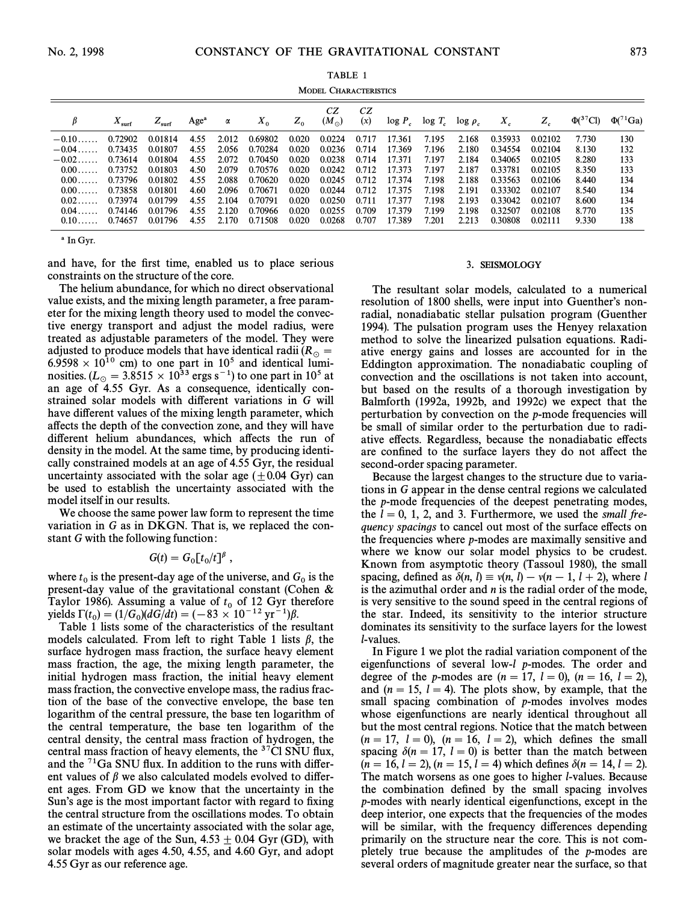| <b>MODEL CHARACTERISTICS</b> |                         |                |                  |       |         |       |                     |           |            |           |               |         |         |                            |                 |
|------------------------------|-------------------------|----------------|------------------|-------|---------|-------|---------------------|-----------|------------|-----------|---------------|---------|---------|----------------------------|-----------------|
| β                            | $\Lambda_{\text{surf}}$ | $Z_{\rm surf}$ | Age <sup>a</sup> | α     | $X_0$   | $Z_0$ | CZ<br>$(M_{\odot})$ | CZ<br>(x) | $\log P_c$ | $log T_c$ | $\log \rho_c$ | $X_{c}$ | $Z_c$   | $\Phi$ ( <sup>37</sup> Cl) | $\Phi(^{71}Ga)$ |
| $-0.10$ .                    | 0.72902                 | 0.01814        | 4.55             | 2.012 | 0.69802 | 0.020 | 0.0224              | 0.717     | 17.361     | 7.195     | 2.168         | 0.35933 | 0.02102 | 7.730                      | 130             |
| $-0.04\dots$                 | 0.73435                 | 0.01807        | 4.55             | 2.056 | 0.70284 | 0.020 | 0.0236              | 0.714     | 17.369     | 7.196     | 2.180         | 0.34554 | 0.02104 | 8.130                      | 132             |
| $-0.02\dots$                 | 0.73614                 | 0.01804        | 4.55             | 2.072 | 0.70450 | 0.020 | 0.0238              | 0.714     | 17.371     | 7.197     | 2.184         | 0.34065 | 0.02105 | 8.280                      | 133             |
| 0.00                         | 0.73752                 | 0.01803        | 4.50             | 2.079 | 0.70576 | 0.020 | 0.0242              | 0.712     | 17.373     | 7.197     | 2.187         | 0.33781 | 0.02105 | 8.350                      | 133             |
| 0.00                         | 0.73796                 | 0.01802        | 4.55             | 2.088 | 0.70620 | 0.020 | 0.0245              | 0.712     | 17.374     | 7.198     | 2.188         | 0.33563 | 0.02106 | 8.440                      | 134             |
| $0.00\dots$                  | 0.73858                 | 0.01801        | 4.60             | 2.096 | 0.70671 | 0.020 | 0.0244              | 0.712     | 17.375     | 7.198     | 2.191         | 0.33302 | 0.02107 | 8.540                      | 134             |
| 0.02                         | 0.73974                 | 0.01799        | 4.55             | 2.104 | 0.70791 | 0.020 | 0.0250              | 0.711     | 17.377     | 7.198     | 2.193         | 0.33042 | 0.02107 | 8.600                      | 134             |
| $0.04$ .                     | 0.74146                 | 0.01796        | 4.55             | 2.120 | 0.70966 | 0.020 | 0.0255              | 0.709     | 17.379     | 7.199     | 2.198         | 0.32507 | 0.02108 | 8.770                      | 135             |
| 0.10                         | 0.74657                 | 0.01796        | 4.55             | 2.170 | 0.71508 | 0.020 | 0.0268              | 0.707     | 17.389     | 7.201     | 2.213         | 0.30808 | 0.02111 | 9.330                      | 138             |

a In Gyr.

and have, for the first time, enabled us to place serious constraints on the structure of the core.

The helium abundance, for which no direct observational value exists, and the mixing length parameter, a free parameter for the mixing length theory used to model the convective energy transport and adjust the model radius, were treated as adjustable parameters of the model. They were adjusted to produce models that have identical radii ( $R_\odot$  =  $6.9598 \times 10^{10}$  cm) to one part in 10<sup>5</sup> and identical luminosities. ( $L_{\odot} = 3.8515 \times 10^{33}$  ergs s<sup>-1</sup>) to one part in 10<sup>5</sup> at an age of 4.55 Gyr. As a consequence, identically constrained solar models with di†erent variations in G will have different values of the mixing length parameter, which affects the depth of the convection zone, and they will have different helium abundances, which affects the run of density in the model. At the same time, by producing identically constrained models at an age of 4.55 Gyr, the residual uncertainty associated with the solar age  $(\pm 0.04 \text{ Gyr})$  can be used to establish the uncertainty associated with the model itself in our results.

We choose the same power law form to represent the time variation in  $G$  as in DKGN. That is, we replaced the constant G with the following function:

$$
G(t)=G_0[t_0/t]^{\beta}\;,
$$

where  $t_0$  is the present-day age of the universe, and  $G_0$  is the present-day value of the gravitational constant (Cohen  $\&$ Taylor 1986). Assuming a value of  $t_0$  of 12 Gyr therefore yields  $\Gamma(t_0) = (1/G_0)(dG/dt) = (-83 \times 10^{-12} \text{ yr}^{-1})\beta$ .<br>Table 1 lists one of the characteristics of the

Table 1 lists some of the characteristics of the resultant models calculated. From left to right Table 1 lists  $\beta$ , the surface hydrogen mass fraction, the surface heavy element mass fraction, the age, the mixing length parameter, the initial hydrogen mass fraction, the initial heavy element mass fraction, the convective envelope mass, the radius fraction of the base of the convective envelope, the base ten logarithm of the central pressure, the base ten logarithm of the central temperature, the base ten logarithm of the central density, the central mass fraction of hydrogen, the central mass fraction of heavy elements, the  $37\text{CI}$  SNU flux, and the  ${}^{71}Ga$  SNU flux. In addition to the runs with different values of  $\beta$  we also calculated models evolved to different ages. From GD we know that the uncertainty in the Sun's age is the most important factor with regard to fixing the central structure from the oscillations modes. To obtain an estimate of the uncertainty associated with the solar age, we bracket the age of the Sun,  $4.53 \pm 0.04$  Gyr (GD), with solar models with ages 4.50, 4.55, and 4.60 Gyr, and adopt 4.55 Gyr as our reference age.

### 3. SEISMOLOGY

The resultant solar models, calculated to a numerical resolution of 1800 shells, were input into Guenther's nonradial, nonadiabatic stellar pulsation program (Guenther 1994). The pulsation program uses the Henyey relaxation method to solve the linearized pulsation equations. Radiative energy gains and losses are accounted for in the Eddington approximation. The nonadiabatic coupling of convection and the oscillations is not taken into account, but based on the results of a thorough investigation by Balmforth (1992a, 1992b, and 1992c) we expect that the perturbation by convection on the p-mode frequencies will be small of similar order to the perturbation due to radiative effects. Regardless, because the nonadiabatic effects are confined to the surface layers they do not affect the second-order spacing parameter.

Because the largest changes to the structure due to variations in G appear in the dense central regions we calculated the p-mode frequencies of the deepest penetrating modes, the  $l = 0, 1, 2,$  and 3. Furthermore, we used the small frequency spacings to cancel out most of the surface effects on the frequencies where p-modes are maximally sensitive and where we know our solar model physics to be crudest. Known from asymptotic theory (Tassoul 1980), the small spacing, defined as  $\delta(n, l) \equiv v(n, l) - v(n - 1, l + 2)$ , where l is the azimuthal order and  $n$  is the radial order of the mode, is very sensitive to the sound speed in the central regions of the star. Indeed, its sensitivity to the interior structure dominates its sensitivity to the surface layers for the lowest l-values.

In Figure 1 we plot the radial variation component of the eigenfunctions of several low-l p-modes. The order and degree of the *p*-modes are  $(n = 17, l = 0), (n = 16, l = 2),$ and  $(n = 15, l = 4)$ . The plots show, by example, that the small spacing combination of p-modes involves modes whose eigenfunctions are nearly identical throughout all but the most central regions. Notice that the match between  $(n = 17, l = 0), (n = 16, l = 2),$  which defines the small spacing  $\delta(n = 17, l = 0)$  is better than the match between  $(n = 16, l = 2), (n = 15, l = 4)$  which defines  $\delta(n = 14, l = 2)$ . The match worsens as one goes to higher l-values. Because the combination defined by the small spacing involves p-modes with nearly identical eigenfunctions, except in the deep interior, one expects that the frequencies of the modes will be similar, with the frequency differences depending primarily on the structure near the core. This is not completely true because the amplitudes of the p-modes are several orders of magnitude greater near the surface, so that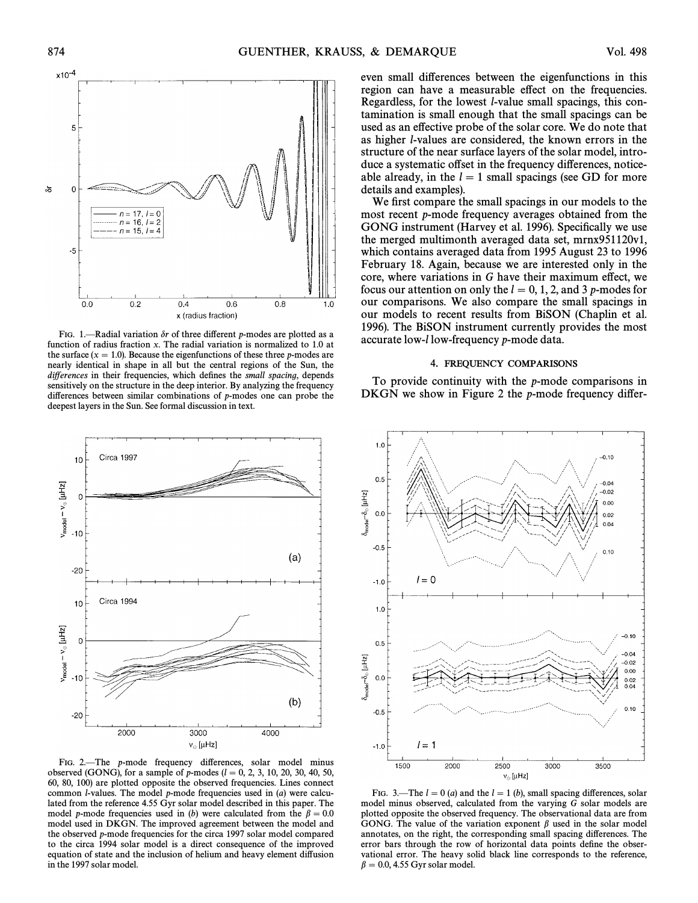

FIG. 1.-Radial variation  $\delta r$  of three different p-modes are plotted as a function of radius fraction x. The radial variation is normalized to 1.0 at the surface  $(x = 1.0)$ . Because the eigenfunctions of these three p-modes are nearly identical in shape in all but the central regions of the Sun, the differences in their frequencies, which defines the small spacing, depends sensitively on the structure in the deep interior. By analyzing the frequency differences between similar combinations of  $p$ -modes one can probe the deepest layers in the Sun. See formal discussion in text.



FIG. 2.—The p-mode frequency differences, solar model minus observed (GONG), for a sample of p-modes ( $l = 0, 2, 3, 10, 20, 30, 40, 50$ , 60, 80, 100) are plotted opposite the observed frequencies. Lines connect common *l*-values. The model  $p$ -mode frequencies used in  $(a)$  were calculated from the reference 4.55 Gyr solar model described in this paper. The model p-mode frequencies used in (b) were calculated from the  $\beta = 0.0$ model used in DKGN. The improved agreement between the model and the observed p-mode frequencies for the circa 1997 solar model compared to the circa 1994 solar model is a direct consequence of the improved equation of state and the inclusion of helium and heavy element di†usion in the 1997 solar model.

even small differences between the eigenfunctions in this region can have a measurable effect on the frequencies. Regardless, for the lowest l-value small spacings, this contamination is small enough that the small spacings can be used as an effective probe of the solar core. We do note that as higher l-values are considered, the known errors in the structure of the near surface layers of the solar model, introduce a systematic offset in the frequency differences, noticeable already, in the  $l = 1$  small spacings (see GD for more details and examples).

We first compare the small spacings in our models to the most recent p-mode frequency averages obtained from the GONG instrument (Harvey et al. 1996). Specifically we use the merged multimonth averaged data set, mrnx951120v1, which contains averaged data from 1995 August 23 to 1996 February 18. Again, because we are interested only in the core, where variations in  $G$  have their maximum effect, we focus our attention on only the  $l = 0, 1, 2$ , and 3 p-modes for our comparisons. We also compare the small spacings in our models to recent results from BiSON (Chaplin et al. 1996). The BiSON instrument currently provides the most accurate low-l low-frequency p-mode data.

## 4. FREQUENCY COMPARISONS

To provide continuity with the  $p$ -mode comparisons in DKGN we show in Figure 2 the  $p$ -mode frequency differ-



FIG. 3.—The  $l = 0$  (a) and the  $l = 1$  (b), small spacing differences, solar model minus observed, calculated from the varying G solar models are plotted opposite the observed frequency. The observational data are from GONG. The value of the variation exponent  $\beta$  used in the solar model annotates, on the right, the corresponding small spacing differences. The error bars through the row of horizontal data points define the observational error. The heavy solid black line corresponds to the reference,  $\beta = 0.0, 4.55$  Gyr solar model.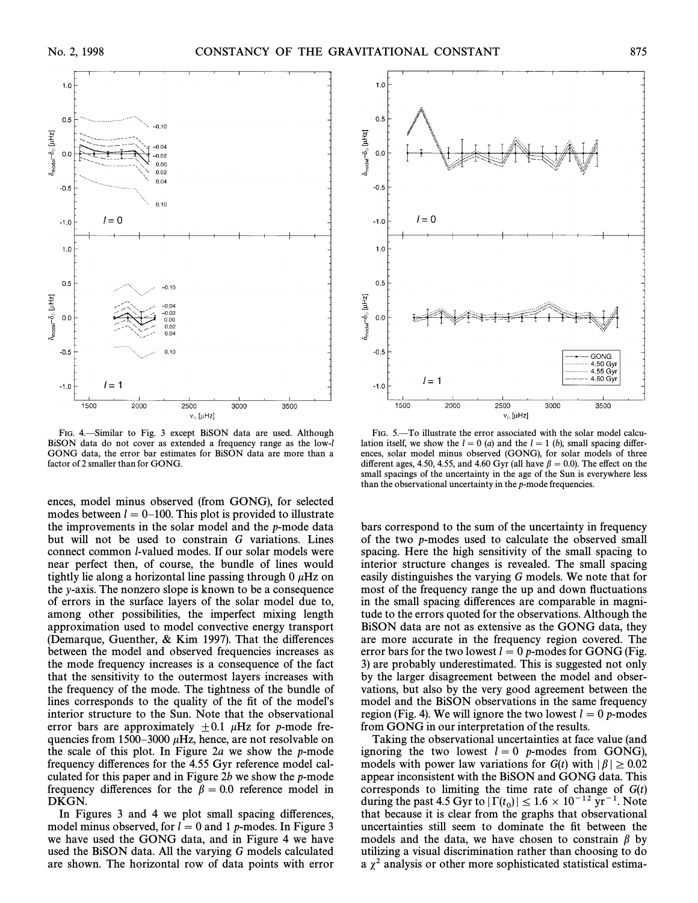

FIG. 4.-Similar to Fig. 3 except BiSON data are used. Although BiSON data do not cover as extended a frequency range as the low-l GONG data, the error bar estimates for BiSON data are more than a factor of 2 smaller than for GONG.

ences, model minus observed (from GONG), for selected modes between  $l = 0-100$ . This plot is provided to illustrate the improvements in the solar model and the p-mode data but will not be used to constrain G variations. Lines connect common l-valued modes. If our solar models were near perfect then, of course, the bundle of lines would tightly lie along a horizontal line passing through  $0 \mu$ Hz on the y-axis. The nonzero slope is known to be a consequence of errors in the surface layers of the solar model due to, among other possibilities, the imperfect mixing length approximation used to model convective energy transport (Demarque, Guenther,  $& Kim 1997$ ). That the differences between the model and observed frequencies increases as the mode frequency increases is a consequence of the fact that the sensitivity to the outermost layers increases with the frequency of the mode. The tightness of the bundle of lines corresponds to the quality of the fit of the model's interior structure to the Sun. Note that the observational error bars are approximately  $\pm 0.1$   $\mu$ Hz for p-mode frequencies from 1500–3000  $\mu$ Hz, hence, are not resolvable on the scale of this plot. In Figure 2a we show the  $p$ -mode frequency differences for the 4.55 Gyr reference model calculated for this paper and in Figure 2b we show the  $p$ -mode frequency differences for the  $\beta = 0.0$  reference model in DKGN.

In Figures 3 and 4 we plot small spacing differences, model minus observed, for  $l = 0$  and 1 p-modes. In Figure 3 we have used the GONG data, and in Figure 4 we have used the BiSON data. All the varying G models calculated are shown. The horizontal row of data points with error



FIG. 5.-To illustrate the error associated with the solar model calculation itself, we show the  $l = 0$  (a) and the  $l = 1$  (b), small spacing differences, solar model minus observed (GONG), for solar models of three different ages, 4.50, 4.55, and 4.60 Gyr (all have  $\beta = 0.0$ ). The effect on the small spacings of the uncertainty in the age of the Sun is everywhere less than the observational uncertainty in the p-mode frequencies.

bars correspond to the sum of the uncertainty in frequency of the two p-modes used to calculate the observed small spacing. Here the high sensitivity of the small spacing to interior structure changes is revealed. The small spacing easily distinguishes the varying G models. We note that for most of the frequency range the up and down fluctuations in the small spacing differences are comparable in magnitude to the errors quoted for the observations. Although the BiSON data are not as extensive as the GONG data, they are more accurate in the frequency region covered. The error bars for the two lowest  $l=0$  p-modes for GONG (Fig. 3) are probably underestimated. This is suggested not only by the larger disagreement between the model and observations, but also by the very good agreement between the model and the BiSON observations in the same frequency region (Fig. 4). We will ignore the two lowest  $l = 0$  p-modes from GONG in our interpretation of the results.

Taking the observational uncertainties at face value (and ignoring the two lowest  $l = 0$  p-modes from GONG), models with power law variations for  $G(t)$  with  $|\beta| \ge 0.02$ appear inconsistent with the BiSON and GONG data. This corresponds to limiting the time rate of change of  $G(t)$ during the past 4.5 Gyr to  $|\Gamma(t_0)| \leq 1.6 \times 10^{-12} \text{ yr}^{-1}$ . Note that because it is clear from the graphs that observational that because it is clear from the graphs that observational uncertainties still seem to dominate the Ðt between the models and the data, we have chosen to constrain  $\beta$  by utilizing a visual discrimination rather than choosing to do a  $\chi^2$  analysis or other more sophisticated statistical estima